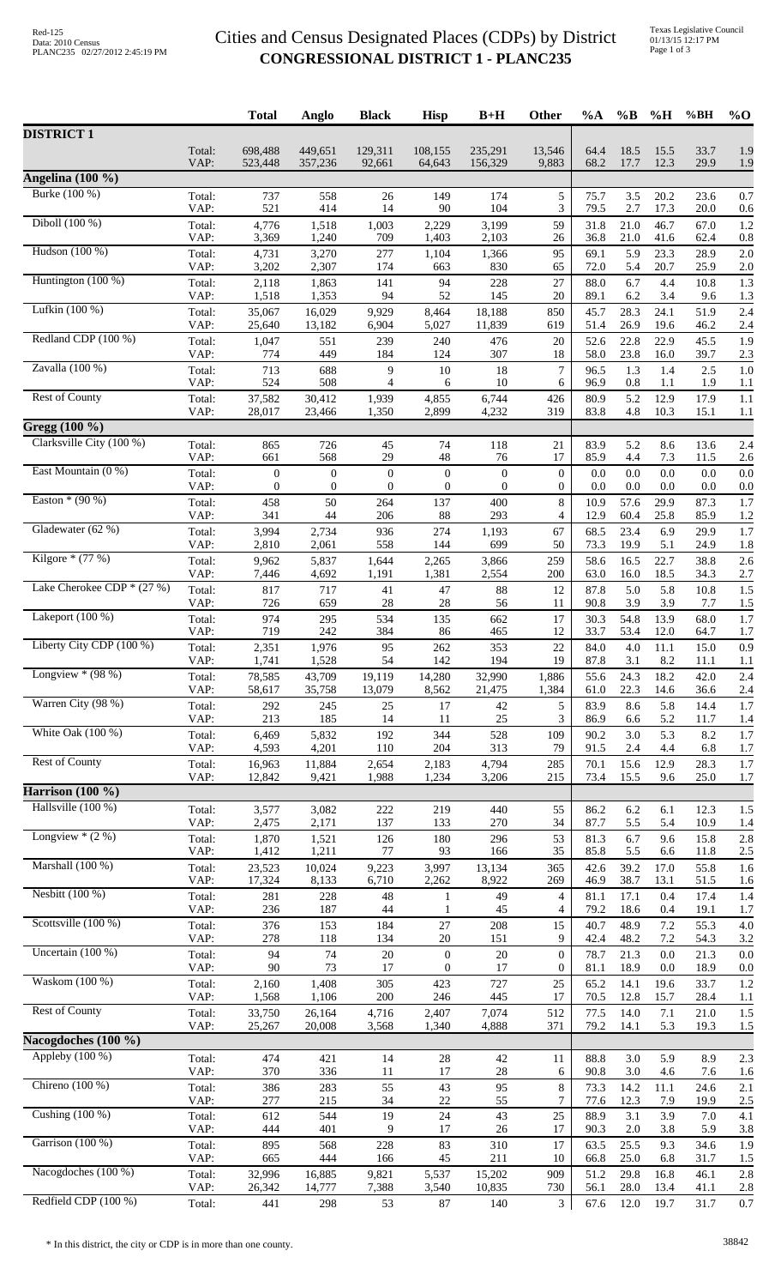## Cities and Census Designated Places (CDPs) by District **CONGRESSIONAL DISTRICT 1 - PLANC235**

|                                        |                | <b>Total</b>            | Anglo                | <b>Black</b>        | <b>Hisp</b>              | $B+H$                   | Other                              | %A           | $\%B$        | %H             | %BH          | $%$ <sup>O</sup> |
|----------------------------------------|----------------|-------------------------|----------------------|---------------------|--------------------------|-------------------------|------------------------------------|--------------|--------------|----------------|--------------|------------------|
| <b>DISTRICT 1</b>                      |                |                         |                      |                     |                          |                         |                                    |              |              |                |              |                  |
|                                        | Total:<br>VAP: | 698,488<br>523,448      | 449,651<br>357,236   | 129,311<br>92,661   | 108,155<br>64,643        | 235,291<br>156,329      | 13,546<br>9,883                    | 64.4<br>68.2 | 18.5<br>17.7 | 15.5<br>12.3   | 33.7<br>29.9 | 1.9<br>1.9       |
| Angelina (100 %)                       |                |                         |                      |                     |                          |                         |                                    |              |              |                |              |                  |
| Burke (100 %)                          | Total:         | 737                     | 558                  | 26                  | 149                      | 174                     | 5                                  | 75.7         | 3.5          | 20.2           | 23.6         | 0.7              |
| Diboll (100 %)                         | VAP:<br>Total: | 521<br>4,776            | 414<br>1,518         | 14<br>1,003         | 90<br>2,229              | 104<br>3,199            | 3<br>59                            | 79.5<br>31.8 | 2.7<br>21.0  | 17.3<br>46.7   | 20.0<br>67.0 | 0.6<br>1.2       |
|                                        | VAP:           | 3,369                   | 1,240                | 709                 | 1,403                    | 2,103                   | 26                                 | 36.8         | 21.0         | 41.6           | 62.4         | 0.8              |
| Hudson (100 %)                         | Total:<br>VAP: | 4,731<br>3,202          | 3,270<br>2,307       | 277<br>174          | 1,104<br>663             | 1,366<br>830            | 95<br>65                           | 69.1<br>72.0 | 5.9<br>5.4   | 23.3<br>20.7   | 28.9<br>25.9 | 2.0<br>2.0       |
| Huntington (100 %)                     | Total:<br>VAP: | 2,118<br>1,518          | 1,863<br>1,353       | 141<br>94           | 94<br>52                 | 228<br>145              | 27<br>20                           | 88.0<br>89.1 | 6.7<br>6.2   | 4.4<br>3.4     | 10.8<br>9.6  | 1.3<br>1.3       |
| Lufkin (100 %)                         | Total:         | 35,067                  | 16,029               | 9,929               | 8,464                    | 18,188                  | 850                                | 45.7         | 28.3         | 24.1           | 51.9         | 2.4              |
| Redland CDP (100 %)                    | VAP:<br>Total: | 25,640<br>1,047         | 13,182<br>551        | 6,904<br>239        | 5,027<br>240             | 11,839<br>476           | 619<br>20                          | 51.4<br>52.6 | 26.9<br>22.8 | 19.6<br>22.9   | 46.2<br>45.5 | 2.4<br>1.9       |
| Zavalla $(100\%)$                      | VAP:           | 774                     | 449                  | 184                 | 124                      | 307<br>18               | 18<br>$\tau$                       | 58.0         | 23.8         | 16.0           | 39.7         | 2.3              |
|                                        | Total:<br>VAP: | 713<br>524              | 688<br>508           | 9<br>$\overline{4}$ | $10\,$<br>6              | 10                      | 6                                  | 96.5<br>96.9 | 1.3<br>0.8   | 1.4<br>1.1     | 2.5<br>1.9   | 1.0<br>1.1       |
| Rest of County                         | Total:<br>VAP: | 37,582<br>28,017        | 30,412<br>23,466     | 1,939<br>1,350      | 4,855<br>2,899           | 6,744<br>4,232          | 426<br>319                         | 80.9<br>83.8 | 5.2<br>4.8   | 12.9<br>10.3   | 17.9<br>15.1 | 1.1<br>1.1       |
| Gregg (100 %)                          |                |                         |                      |                     |                          |                         |                                    |              |              |                |              |                  |
| Clarksville City (100 %)               | Total:<br>VAP: | 865<br>661              | 726<br>568           | 45<br>29            | 74<br>48                 | 118<br>76               | 21<br>17                           | 83.9<br>85.9 | 5.2<br>4.4   | 8.6<br>7.3     | 13.6<br>11.5 | 2.4<br>2.6       |
| East Mountain (0 %)                    | Total:         | $\boldsymbol{0}$        | $\boldsymbol{0}$     | $\boldsymbol{0}$    | $\boldsymbol{0}$         | $\boldsymbol{0}$        | $\mathbf{0}$                       | 0.0          | $0.0\,$      | 0.0            | 0.0          | 0.0              |
| Easton $*(90\%)$                       | VAP:<br>Total: | $\boldsymbol{0}$<br>458 | $\overline{0}$<br>50 | $\theta$<br>264     | $\mathbf{0}$<br>137      | $\boldsymbol{0}$<br>400 | $\overline{0}$<br>$\,$ 8 $\,$      | 0.0<br>10.9  | 0.0<br>57.6  | 0.0<br>29.9    | 0.0<br>87.3  | 0.0<br>1.7       |
|                                        | VAP:           | 341                     | 44                   | 206                 | 88                       | 293                     | 4                                  | 12.9         | 60.4         | 25.8           | 85.9         | 1.2              |
| Gladewater (62 %)                      | Total:<br>VAP: | 3,994<br>2,810          | 2,734<br>2,061       | 936<br>558          | 274<br>144               | 1,193<br>699            | 67<br>50                           | 68.5<br>73.3 | 23.4<br>19.9 | 6.9<br>5.1     | 29.9<br>24.9 | 1.7<br>1.8       |
| Kilgore $*(77%)$                       | Total:<br>VAP: | 9,962<br>7,446          | 5,837<br>4,692       | 1,644<br>1,191      | 2,265<br>1,381           | 3,866<br>2,554          | 259<br>200                         | 58.6<br>63.0 | 16.5<br>16.0 | 22.7<br>18.5   | 38.8<br>34.3 | 2.6<br>2.7       |
| Lake Cherokee CDP * (27 %)             | Total:         | 817                     | 717                  | 41                  | 47                       | 88                      | 12                                 | 87.8         | 5.0          | 5.8            | 10.8         | 1.5              |
| Lakeport $(100\%)$                     | VAP:<br>Total: | 726<br>974              | 659<br>295           | 28<br>534           | $28\,$<br>135            | 56<br>662               | 11<br>17                           | 90.8<br>30.3 | 3.9<br>54.8  | 3.9<br>13.9    | 7.7<br>68.0  | 1.5<br>1.7       |
| Liberty City CDP (100 %)               | VAP:           | 719                     | 242                  | 384                 | 86                       | 465                     | 12                                 | 33.7         | 53.4         | 12.0           | 64.7         | 1.7              |
|                                        | Total:<br>VAP: | 2,351<br>1,741          | 1,976<br>1,528       | 95<br>54            | 262<br>142               | 353<br>194              | 22<br>19                           | 84.0<br>87.8 | 4.0<br>3.1   | 11.1<br>8.2    | 15.0<br>11.1 | 0.9<br>1.1       |
| Longview $*(98%)$                      | Total:<br>VAP: | 78,585<br>58,617        | 43,709<br>35,758     | 19,119<br>13,079    | 14,280<br>8,562          | 32,990<br>21,475        | 1,886<br>1,384                     | 55.6<br>61.0 | 24.3<br>22.3 | 18.2<br>14.6   | 42.0<br>36.6 | 2.4<br>2.4       |
| Warren City (98 %)                     | Total:<br>VAP: | 292<br>213              | 245<br>185           | 25<br>14            | 17<br>11                 | 42<br>25                | 5<br>3                             | 83.9<br>86.9 | 8.6<br>6.6   | 5.8<br>5.2     | 14.4<br>11.7 | 1.7<br>1.4       |
| White Oak $(100\%)$                    | Total:         | 6,469                   | 5,832                | 192                 | 344                      | 528                     | 109                                | 90.2         | 3.0          | 5.3            | 8.2          | 1.7              |
| <b>Rest of County</b>                  | VAP:<br>Total: | 4,593<br>16,963         | 4,201<br>11,884      | 110<br>2,654        | 204<br>2,183             | 313<br>4,794            | 79<br>285                          | 91.5<br>70.1 | 2.4<br>15.6  | 4.4<br>12.9    | 6.8<br>28.3  | 1.7<br>1.7       |
|                                        | VAP:           | 12,842                  | 9,421                | 1,988               | 1,234                    | 3,206                   | 215                                | 73.4         | 15.5         | 9.6            | 25.0         | 1.7              |
| Harrison (100 %)<br>Hallsville (100 %) |                |                         |                      |                     |                          |                         |                                    |              |              |                |              |                  |
|                                        | Total:<br>VAP: | 3,577<br>2,475          | 3,082<br>2,171       | 222<br>137          | 219<br>133               | 440<br>270              | 55<br>34                           | 86.2<br>87.7 | 6.2<br>5.5   | 6.1<br>5.4     | 12.3<br>10.9 | 1.5<br>1.4       |
| Longview $*(2\%)$                      | Total:<br>VAP: | 1,870<br>1,412          | 1,521<br>1,211       | 126<br>77           | 180<br>93                | 296<br>166              | 53<br>35                           | 81.3<br>85.8 | 6.7<br>5.5   | 9.6<br>6.6     | 15.8<br>11.8 | 2.8              |
| Marshall (100 %)                       | Total:         | 23,523                  | 10,024               | 9,223               | 3,997                    | 13,134                  | 365                                | 42.6         | 39.2         | 17.0           | 55.8         | 2.5<br>1.6       |
| Nesbitt (100 %)                        | VAP:<br>Total: | 17,324<br>281           | 8,133<br>228         | 6,710<br>48         | 2,262<br>1               | 8,922<br>49             | 269<br>4                           | 46.9<br>81.1 | 38.7<br>17.1 | 13.1<br>0.4    | 51.5<br>17.4 | 1.6<br>1.4       |
|                                        | VAP:           | 236                     | 187                  | 44                  | 1                        | 45                      | $\overline{4}$                     | 79.2         | 18.6         | 0.4            | 19.1         | 1.7              |
| Scottsville (100 %)                    | Total:<br>VAP: | 376<br>278              | 153<br>118           | 184<br>134          | 27<br>$20\,$             | 208<br>151              | 15<br>9                            | 40.7<br>42.4 | 48.9<br>48.2 | $7.2\,$<br>7.2 | 55.3<br>54.3 | 4.0<br>3.2       |
| Uncertain $(100\%)$                    | Total:<br>VAP: | 94<br>90                | 74<br>73             | $20\,$<br>17        | $\mathbf{0}$<br>$\theta$ | 20<br>17                | $\overline{0}$<br>$\boldsymbol{0}$ | 78.7<br>81.1 | 21.3<br>18.9 | 0.0<br>0.0     | 21.3<br>18.9 | 0.0<br>0.0       |
| Waskom (100 %)                         | Total:         | 2,160                   | 1,408                | 305                 | 423                      | 727                     | 25                                 | 65.2         | 14.1         | 19.6           | 33.7         | 1.2              |
| <b>Rest of County</b>                  | VAP:<br>Total: | 1,568<br>33,750         | 1,106<br>26,164      | 200<br>4,716        | 246<br>2,407             | 445<br>7,074            | 17<br>512                          | 70.5<br>77.5 | 12.8<br>14.0 | 15.7<br>7.1    | 28.4<br>21.0 | 1.1<br>1.5       |
|                                        | VAP:           | 25,267                  | 20,008               | 3,568               | 1,340                    | 4,888                   | 371                                | 79.2         | 14.1         | 5.3            | 19.3         | 1.5              |
| Nacogdoches (100 %)                    |                |                         |                      |                     |                          |                         |                                    |              |              |                |              |                  |
| Appleby $(100\%)$                      | Total:<br>VAP: | 474<br>370              | 421<br>336           | 14<br>11            | 28<br>17                 | 42<br>28                | 11<br>6                            | 88.8<br>90.8 | 3.0<br>3.0   | 5.9<br>4.6     | 8.9<br>7.6   | 2.3<br>1.6       |
| Chireno (100 %)                        | Total:<br>VAP: | 386<br>277              | 283<br>215           | 55<br>34            | 43<br>22                 | 95<br>55                | 8<br>7                             | 73.3<br>77.6 | 14.2<br>12.3 | 11.1<br>7.9    | 24.6<br>19.9 | 2.1<br>2.5       |
| Cushing (100 %)                        | Total:         | 612                     | 544                  | 19                  | 24                       | 43                      | 25                                 | 88.9         | 3.1          | 3.9            | 7.0          | 4.1              |
| Garrison (100 %)                       | VAP:<br>Total: | 444<br>895              | 401<br>568           | 9<br>228            | 17<br>83                 | 26<br>310               | 17<br>17                           | 90.3<br>63.5 | 2.0<br>25.5  | 3.8<br>9.3     | 5.9<br>34.6  | 3.8<br>1.9       |
|                                        | VAP:           | 665                     | 444                  | 166                 | 45                       | 211                     | 10                                 | 66.8         | 25.0         | 6.8            | 31.7         | 1.5              |
| Nacogdoches $(100\%)$                  | Total:<br>VAP: | 32,996<br>26,342        | 16,885<br>14,777     | 9,821<br>7,388      | 5,537<br>3,540           | 15,202<br>10,835        | 909<br>730                         | 51.2<br>56.1 | 29.8<br>28.0 | 16.8<br>13.4   | 46.1<br>41.1 | 2.8<br>2.8       |
| Redfield CDP (100 %)                   | Total:         | 441                     | 298                  | 53                  | 87                       | 140                     | 3                                  | 67.6         | 12.0         | 19.7           | 31.7         | 0.7              |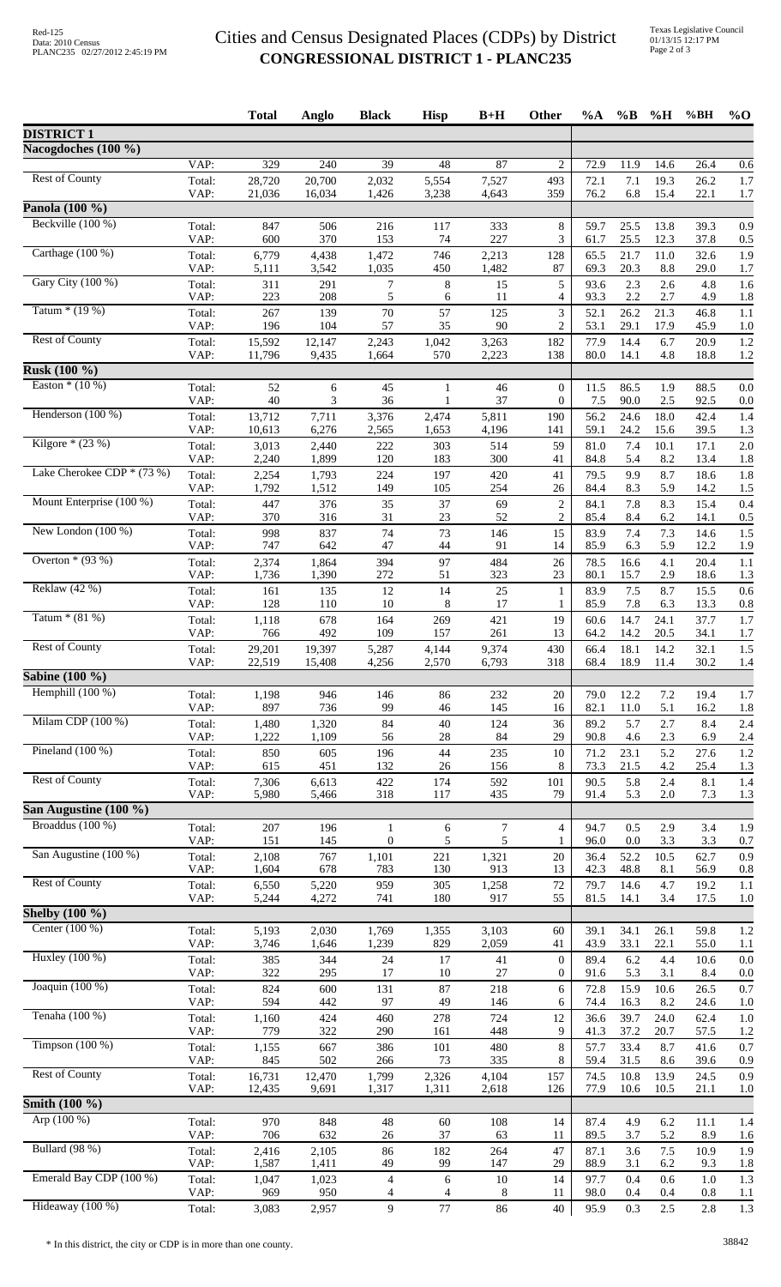## Cities and Census Designated Places (CDPs) by District **CONGRESSIONAL DISTRICT 1 - PLANC235**

|                                            |                | <b>Total</b>     | Anglo            | <b>Black</b>        | <b>Hisp</b>    | $B+H$          | Other                        | $\%A$        | $\%$ B       | $\%$ H       | %BH            | $%$ <sup>O</sup> |
|--------------------------------------------|----------------|------------------|------------------|---------------------|----------------|----------------|------------------------------|--------------|--------------|--------------|----------------|------------------|
| <b>DISTRICT 1</b>                          |                |                  |                  |                     |                |                |                              |              |              |              |                |                  |
| Nacogdoches (100 %)                        |                |                  |                  |                     |                |                |                              |              |              |              |                |                  |
| <b>Rest of County</b>                      | VAP:<br>Total: | 329<br>28,720    | 240<br>20,700    | 39<br>2,032         | 48<br>5,554    | 87<br>7,527    | 2<br>493                     | 72.9<br>72.1 | 11.9<br>7.1  | 14.6<br>19.3 | 26.4<br>26.2   | 0.6<br>1.7       |
|                                            | VAP:           | 21,036           | 16,034           | 1,426               | 3,238          | 4,643          | 359                          | 76.2         | 6.8          | 15.4         | 22.1           | 1.7              |
| Panola (100 %)                             |                |                  |                  |                     |                |                |                              |              |              |              |                |                  |
| Beckville (100 %)                          | Total:<br>VAP: | 847<br>600       | 506<br>370       | 216<br>153          | 117<br>74      | 333<br>227     | $8\,$<br>3                   | 59.7<br>61.7 | 25.5<br>25.5 | 13.8<br>12.3 | 39.3<br>37.8   | 0.9<br>0.5       |
| Carthage (100 %)                           | Total:         | 6,779            | 4,438            | 1,472               | 746            | 2,213          | 128                          | 65.5         | 21.7         | 11.0         | 32.6           | 1.9              |
| Gary City (100 %)                          | VAP:           | 5,111            | 3,542            | 1,035               | 450            | 1,482          | 87                           | 69.3         | 20.3         | 8.8          | 29.0           | 1.7              |
|                                            | Total:<br>VAP: | 311<br>223       | 291<br>208       | $\tau$<br>5         | $\,8\,$<br>6   | 15<br>11       | 5<br>4                       | 93.6<br>93.3 | 2.3<br>2.2   | 2.6<br>2.7   | 4.8<br>4.9     | 1.6<br>1.8       |
| Tatum $*(19%)$                             | Total:         | 267              | 139              | 70                  | 57             | 125            | 3                            | 52.1         | 26.2         | 21.3         | 46.8           | 1.1              |
| <b>Rest of County</b>                      | VAP:<br>Total: | 196<br>15,592    | 104<br>12,147    | 57<br>2,243         | 35<br>1,042    | 90<br>3,263    | 2<br>182                     | 53.1<br>77.9 | 29.1<br>14.4 | 17.9<br>6.7  | 45.9<br>20.9   | 1.0<br>1.2       |
|                                            | VAP:           | 11,796           | 9,435            | 1,664               | 570            | 2,223          | 138                          | 80.0         | 14.1         | 4.8          | 18.8           | 1.2              |
| <b>Rusk (100 %)</b>                        |                |                  |                  |                     |                |                |                              |              |              |              |                |                  |
| Easton $*(10\%)$                           | Total:<br>VAP: | 52<br>40         | 6<br>3           | 45<br>36            | 1<br>1         | 46<br>37       | $\boldsymbol{0}$<br>$\theta$ | 11.5<br>7.5  | 86.5<br>90.0 | 1.9<br>2.5   | 88.5<br>92.5   | 0.0<br>0.0       |
| Henderson (100 %)                          | Total:         | 13,712           | 7,711            | 3,376               | 2,474          | 5,811          | 190                          | 56.2         | 24.6         | 18.0         | 42.4           | 1.4              |
| Kilgore $*(23%)$                           | VAP:           | 10,613           | 6,276            | 2,565               | 1,653          | 4,196          | 141                          | 59.1         | 24.2         | 15.6         | 39.5           | 1.3              |
|                                            | Total:<br>VAP: | 3,013<br>2,240   | 2,440<br>1,899   | 222<br>120          | 303<br>183     | 514<br>300     | 59<br>41                     | 81.0<br>84.8 | 7.4<br>5.4   | 10.1<br>8.2  | 17.1<br>13.4   | 2.0<br>1.8       |
| Lake Cherokee CDP $*(73%)$                 | Total:         | 2,254            | 1,793            | 224                 | 197            | 420            | 41                           | 79.5         | 9.9          | 8.7          | 18.6           | 1.8              |
| Mount Enterprise (100 %)                   | VAP:<br>Total: | 1,792<br>447     | 1,512<br>376     | 149<br>35           | 105<br>37      | 254<br>69      | 26<br>$\sqrt{2}$             | 84.4<br>84.1 | 8.3<br>7.8   | 5.9<br>8.3   | 14.2<br>15.4   | 1.5<br>0.4       |
|                                            | VAP:           | 370              | 316              | 31                  | 23             | 52             | $\overline{c}$               | 85.4         | 8.4          | 6.2          | 14.1           | 0.5              |
| New London $(100\%)$                       | Total:<br>VAP: | 998<br>747       | 837<br>642       | 74<br>47            | 73<br>44       | 146<br>91      | 15<br>14                     | 83.9<br>85.9 | 7.4<br>6.3   | 7.3<br>5.9   | 14.6<br>12.2   | 1.5<br>1.9       |
| Overton $*(93%)$<br>Reklaw (42 %)          | Total:         | 2,374            | 1,864            | 394                 | 97             | 484            | 26                           | 78.5         | 16.6         | 4.1          | 20.4           | 1.1              |
|                                            | VAP:           | 1,736            | 1,390            | 272                 | 51             | 323            | 23                           | 80.1         | 15.7         | 2.9          | 18.6           | 1.3              |
|                                            | Total:<br>VAP: | 161<br>128       | 135<br>110       | 12<br>10            | 14<br>8        | 25<br>17       | $\mathbf{1}$<br>1            | 83.9<br>85.9 | 7.5<br>7.8   | 8.7<br>6.3   | 15.5<br>13.3   | 0.6<br>0.8       |
| Tatum $*(81%)$                             | Total:         | 1,118            | 678              | 164                 | 269            | 421            | 19                           | 60.6         | 14.7         | 24.1         | 37.7           | 1.7              |
| <b>Rest of County</b>                      | VAP:           | 766              | 492              | 109                 | 157            | 261            | 13                           | 64.2         | 14.2         | 20.5         | 34.1           | 1.7              |
|                                            | Total:<br>VAP: | 29,201<br>22,519 | 19,397<br>15,408 | 5,287<br>4,256      | 4,144<br>2,570 | 9,374<br>6,793 | 430<br>318                   | 66.4<br>68.4 | 18.1<br>18.9 | 14.2<br>11.4 | 32.1<br>30.2   | 1.5<br>1.4       |
| <b>Sabine</b> (100 %)                      |                |                  |                  |                     |                |                |                              |              |              |              |                |                  |
| Hemphill $(100\%)$                         | Total:<br>VAP: | 1,198<br>897     | 946<br>736       | 146<br>99           | 86<br>46       | 232<br>145     | 20<br>16                     | 79.0<br>82.1 | 12.2<br>11.0 | 7.2<br>5.1   | 19.4<br>16.2   | 1.7<br>1.8       |
| Milam CDP (100 %)                          | Total:         | 1,480            | 1,320            | 84                  | 40             | 124            | 36                           | 89.2         | 5.7          | 2.7          | 8.4            | 2.4              |
| Pineland $(100\%)$                         | VAP:           | 1,222            | 1,109            | 56                  | $28\,$         | 84             | 29                           | 90.8         | 4.6          | 2.3          | 6.9            | 2.4              |
|                                            | Total:<br>VAP: | 850<br>615       | 605<br>451       | 196<br>132          | 44<br>26       | 235<br>156     | 10<br>8                      | 71.2<br>73.3 | 23.1<br>21.5 | 5.2<br>4.2   | 27.6<br>25.4   | 1.2<br>1.3       |
| <b>Rest of County</b>                      | Total:         | 7,306            | 6,613            | 422                 | 174            | 592            | 101                          | 90.5         | 5.8          | 2.4          | 8.1            | 1.4              |
| San Augustine (100 %)                      | VAP:           | 5,980            | 5,466            | 318                 | 117            | 435            | 79                           | 91.4         | 5.3          | 2.0          | 7.3            | 1.3              |
| Broaddus (100 %)                           | Total:         | 207              | 196              | 1                   | 6              | $\tau$         | $\overline{4}$               | 94.7         | 0.5          | 2.9          | 3.4            | 1.9              |
|                                            | VAP:           | 151              | 145              | $\boldsymbol{0}$    | 5              | 5              | 1                            | 96.0         | 0.0          | 3.3          | 3.3            | 0.7              |
| San Augustine (100 %)                      | Total:<br>VAP: | 2,108<br>1,604   | 767<br>678       | 1,101<br>783        | 221<br>130     | 1,321<br>913   | 20<br>13                     | 36.4<br>42.3 | 52.2<br>48.8 | 10.5<br>8.1  | 62.7<br>56.9   | 0.9<br>0.8       |
| <b>Rest of County</b>                      | Total:         | 6,550            | 5,220            | 959                 | 305            | 1,258          | 72                           | 79.7         | 14.6         | 4.7          | 19.2           | 1.1              |
| Shelby $(100\%$                            | VAP:           | 5,244            | 4,272            | 741                 | 180            | 917            | 55                           | 81.5         | 14.1         | 3.4          | 17.5           | 1.0              |
| Center (100 %)                             | Total:         | 5,193            | 2,030            | 1,769               | 1,355          | 3,103          | 60                           | 39.1         | 34.1         | 26.1         | 59.8           | 1.2              |
|                                            | VAP:           | 3,746            | 1,646            | 1,239               | 829            | 2,059          | 41                           | 43.9         | 33.1         | 22.1         | 55.0           | 1.1              |
| Huxley (100 %)                             | Total:<br>VAP: | 385<br>322       | 344<br>295       | 24<br>17            | 17<br>10       | 41<br>27       | $\theta$<br>$\boldsymbol{0}$ | 89.4<br>91.6 | 6.2<br>5.3   | 4.4<br>3.1   | 10.6<br>8.4    | 0.0<br>0.0       |
| Joaquin (100 %)                            | Total:         | 824              | 600              | 131                 | 87             | 218            | 6                            | 72.8         | 15.9         | 10.6         | 26.5           | 0.7              |
|                                            | VAP:           | 594              | 442              | 97                  | 49             | 146            | 6                            | 74.4         | 16.3         | 8.2          | 24.6           | 1.0              |
| Tenaha (100 %)                             | Total:<br>VAP: | 1,160<br>779     | 424<br>322       | 460<br>290          | 278<br>161     | 724<br>448     | 12<br>9                      | 36.6<br>41.3 | 39.7<br>37.2 | 24.0<br>20.7 | 62.4<br>57.5   | 1.0<br>1.2       |
| Timpson $(100\%)$<br><b>Rest of County</b> | Total:         | 1,155            | 667              | 386                 | 101            | 480            | 8                            | 57.7         | 33.4         | 8.7          | 41.6           | 0.7              |
|                                            | VAP:<br>Total: | 845<br>16,731    | 502<br>12,470    | 266<br>1,799        | 73<br>2,326    | 335<br>4,104   | 8<br>157                     | 59.4<br>74.5 | 31.5<br>10.8 | 8.6<br>13.9  | 39.6<br>24.5   | 0.9<br>0.9       |
|                                            | VAP:           | 12,435           | 9,691            | 1,317               | 1,311          | 2,618          | 126                          | 77.9         | 10.6         | 10.5         | 21.1           | 1.0              |
| <b>Smith</b> $(100\%)$                     |                |                  |                  |                     |                |                |                              |              |              |              |                |                  |
| Arp $(100\%)$                              | Total:<br>VAP: | 970<br>706       | 848<br>632       | 48<br>26            | 60<br>37       | 108<br>63      | 14<br>11                     | 87.4<br>89.5 | 4.9<br>3.7   | 6.2<br>5.2   | 11.1<br>8.9    | 1.4<br>1.6       |
| Bullard (98 %)                             | Total:         | 2,416            | 2,105            | 86                  | 182            | 264            | 47                           | 87.1         | 3.6          | 7.5          | 10.9           | 1.9              |
| Emerald Bay CDP (100 %)                    | VAP:           | 1,587            | 1,411            | 49                  | 99             | 147            | 29                           | 88.9         | 3.1          | 6.2          | 9.3            | 1.8              |
|                                            | Total:<br>VAP: | 1,047<br>969     | 1,023<br>950     | $\overline{4}$<br>4 | 6<br>4         | $10\,$<br>8    | 14<br>11                     | 97.7<br>98.0 | 0.4<br>0.4   | 0.6<br>0.4   | 1.0<br>$0.8\,$ | 1.3<br>1.1       |
| Hideaway (100 %)                           | Total:         | 3,083            | 2,957            | $\overline{9}$      | $77\,$         | 86             | $40\,$                       | 95.9         | 0.3          | 2.5          | 2.8            | 1.3              |